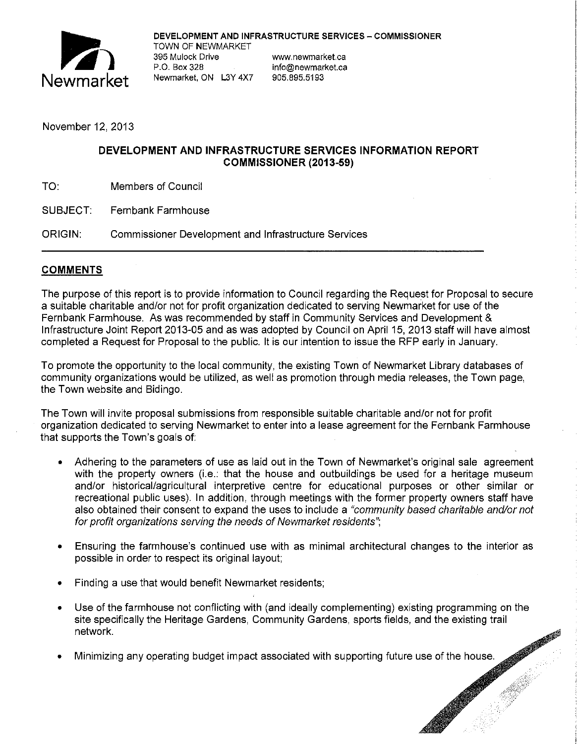

DEVELOPMENT AND INFRASTRUCTURE SERVICES - COMMISSIONER TOWN OF NEWMARKET 395 Mulock Drive **www.newmarket.ca** P.O. Box 328 info@newmarket.ca Newmarket, ON L3Y 4X7 905.895.5193

November 12, 2013

### **DEVELOPMENT AND INFRASTRUCTURE SERVICES INFORMATION REPORT COMMISSIONER (2013-59)**

SUBJECT: Fernbank Farmhouse

ORIGIN: Commissioner Development and Infrastructure Services

# **COMMENTS**

The purpose of this report is to provide information to Council regarding the Request for Proposal to secure a suitable charitable and/or not for profit organization dedicated to serving Newmarket for use of the Fernbank Farmhouse. As was recommended by staff in Community Services and Development & Infrastructure Joint Report 2013-05 and as was adopted by Council on April 15, 2013 staff will have almost completed a Request for Proposal to the public. It is our intention to issue the RFP early in January.

To promote the opportunity to the local community, the existing Town of Newmarket Library databases of community organizations would be utilized, as well as promotion through media releases, the Town page, the Town website and Bidingo.

The Town will invite proposal submissions from responsible suitable charitable and/or not for profit organization dedicated to serving Newmarket to enter into a lease agreement for the Fernbank Farmhouse that supports the Town's goals of:

- Adhering to the parameters of use as laid out in the Town of Newmarket's original sale agreement with the property owners (i.e.: that the house and outbuildings be used for a heritage museum and/or historical/agricultural interpretive centre for educational purposes or other similar or recreational public uses). In addition, through meetings with the former property owners staff have also obtained their consent to expand the uses to include a "community based charitable and/or not for profit organizations serving the needs of Newmarket residents";
- Ensuring the farmhouse's continued use with as minimal architectural changes to the interior as possible in order to respect its original layout;
- Finding a use that would benefit Newmarket residents;
- Use of the farmhouse not conflicting with (and ideally complementing) existing programming on the site specifically the Heritage Gardens, Community Gardens, sports fields, and the existing trail network.
- Minimizing any operating budget impact associated with supporting future use of the house.